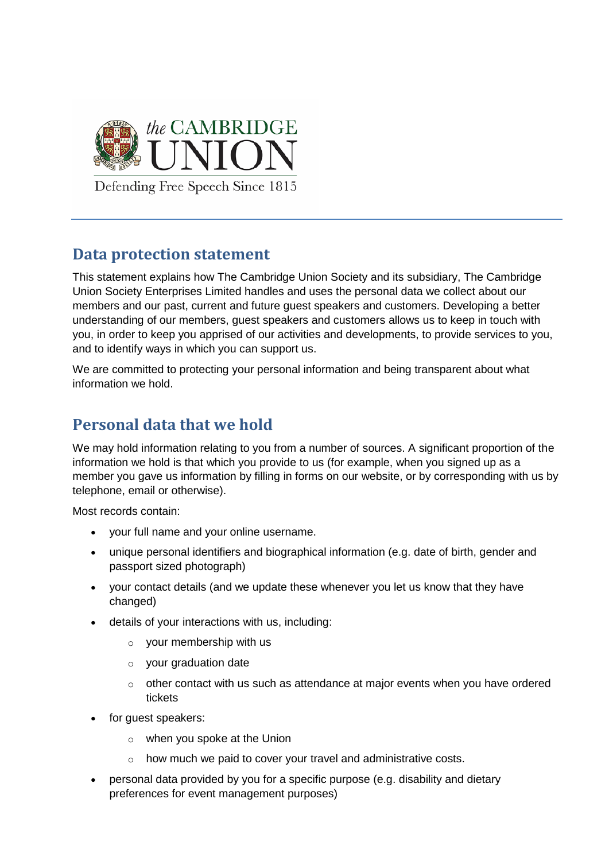

## **Data protection statement**

This statement explains how The Cambridge Union Society and its subsidiary, The Cambridge Union Society Enterprises Limited handles and uses the personal data we collect about our members and our past, current and future guest speakers and customers. Developing a better understanding of our members, guest speakers and customers allows us to keep in touch with you, in order to keep you apprised of our activities and developments, to provide services to you, and to identify ways in which you can support us.

We are committed to protecting your personal information and being transparent about what information we hold.

# **Personal data that we hold**

We may hold information relating to you from a number of sources. A significant proportion of the information we hold is that which you provide to us (for example, when you signed up as a member you gave us information by filling in forms on our website, or by corresponding with us by telephone, email or otherwise).

Most records contain:

- your full name and your online username.
- unique personal identifiers and biographical information (e.g. date of birth, gender and passport sized photograph)
- your contact details (and we update these whenever you let us know that they have changed)
- details of your interactions with us, including:
	- o your membership with us
	- o your graduation date
	- $\circ$  other contact with us such as attendance at major events when you have ordered tickets
- for quest speakers:
	- o when you spoke at the Union
	- o how much we paid to cover your travel and administrative costs.
- personal data provided by you for a specific purpose (e.g. disability and dietary preferences for event management purposes)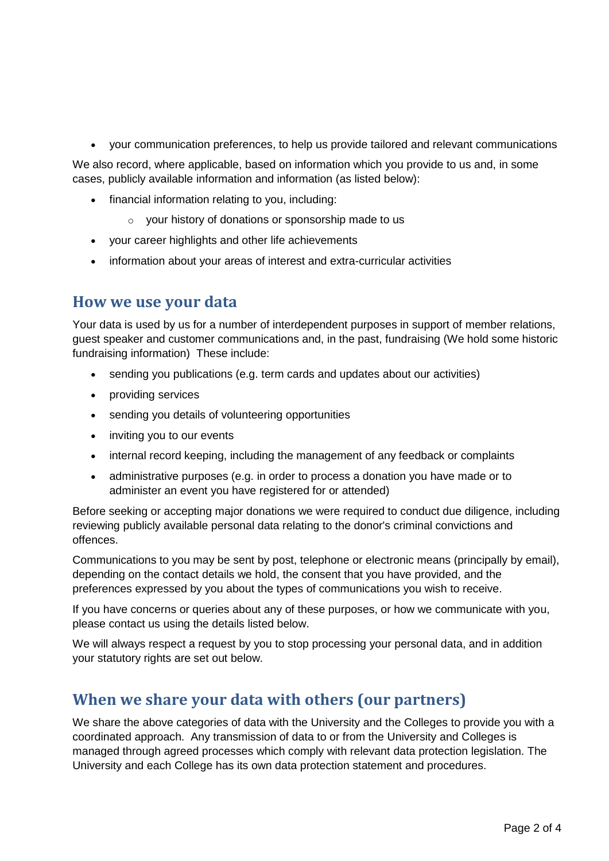your communication preferences, to help us provide tailored and relevant communications

We also record, where applicable, based on information which you provide to us and, in some cases, publicly available information and information (as listed below):

- financial information relating to you, including:
	- o your history of donations or sponsorship made to us
- your career highlights and other life achievements
- information about your areas of interest and extra-curricular activities

#### **How we use your data**

Your data is used by us for a number of interdependent purposes in support of member relations, guest speaker and customer communications and, in the past, fundraising (We hold some historic fundraising information) These include:

- sending you publications (e.g. term cards and updates about our activities)
- providing services
- sending you details of volunteering opportunities
- inviting you to our events
- internal record keeping, including the management of any feedback or complaints
- administrative purposes (e.g. in order to process a donation you have made or to administer an event you have registered for or attended)

Before seeking or accepting major donations we were required to conduct due diligence, including reviewing publicly available personal data relating to the donor's criminal convictions and offences.

Communications to you may be sent by post, telephone or electronic means (principally by email), depending on the contact details we hold, the consent that you have provided, and the preferences expressed by you about the types of communications you wish to receive.

If you have concerns or queries about any of these purposes, or how we communicate with you, please contact us using the details listed below.

We will always respect a request by you to stop processing your personal data, and in addition your statutory rights are set out below.

### **When we share your data with others (our partners)**

We share the above categories of data with the University and the Colleges to provide you with a coordinated approach. Any transmission of data to or from the University and Colleges is managed through agreed processes which comply with relevant data protection legislation. The University and each College has its own data protection statement and procedures.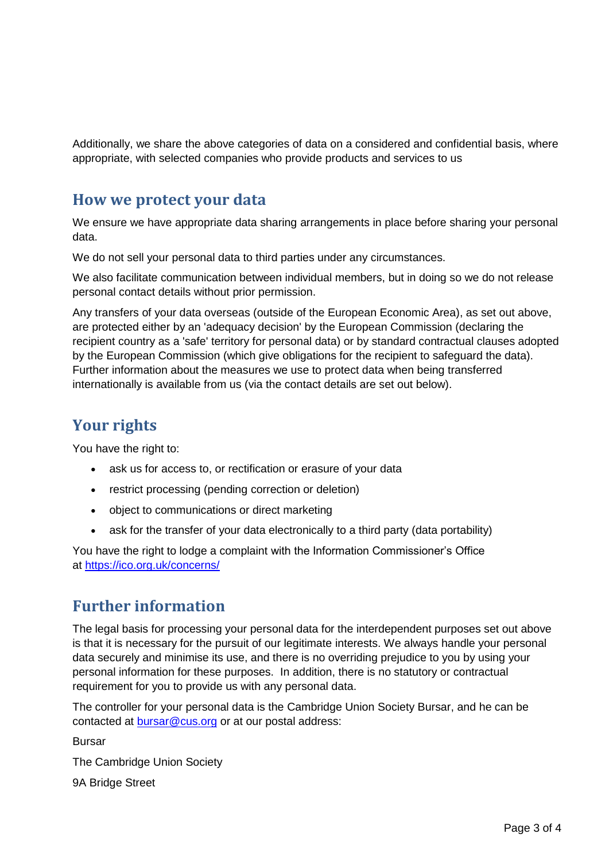Additionally, we share the above categories of data on a considered and confidential basis, where appropriate, with selected companies who provide products and services to us

### **How we protect your data**

We ensure we have appropriate data sharing arrangements in place before sharing your personal data.

We do not sell your personal data to third parties under any circumstances.

We also facilitate communication between individual members, but in doing so we do not release personal contact details without prior permission.

Any transfers of your data overseas (outside of the European Economic Area), as set out above, are protected either by an 'adequacy decision' by the European Commission (declaring the recipient country as a 'safe' territory for personal data) or by standard contractual clauses adopted by the European Commission (which give obligations for the recipient to safeguard the data). Further information about the measures we use to protect data when being transferred internationally is available from us (via the contact details are set out below).

### **Your rights**

You have the right to:

- ask us for access to, or rectification or erasure of your data
- restrict processing (pending correction or deletion)
- object to communications or direct marketing
- ask for the transfer of your data electronically to a third party (data portability)

You have the right to lodge a complaint with the Information Commissioner's Office at <https://ico.org.uk/concerns/>

### **Further information**

The legal basis for processing your personal data for the interdependent purposes set out above is that it is necessary for the pursuit of our legitimate interests. We always handle your personal data securely and minimise its use, and there is no overriding prejudice to you by using your personal information for these purposes. In addition, there is no statutory or contractual requirement for you to provide us with any personal data.

The controller for your personal data is the Cambridge Union Society Bursar, and he can be contacted at [bursar@cus.org](mailto:bursar@cus.org) or at our postal address:

Bursar

The Cambridge Union Society

9A Bridge Street